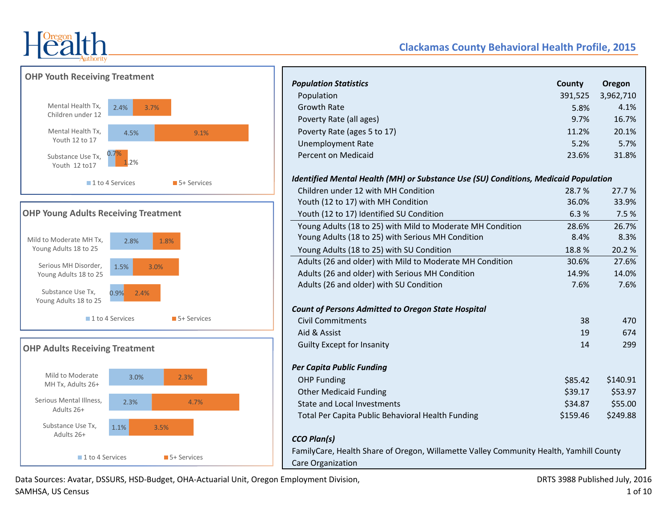



# **OHP Young Adults Receiving Treatment**





# **Clackamas County Behavioral Health Profile, 2015**

| <b>Population Statistics</b>                                                           | County   | Oregon    |
|----------------------------------------------------------------------------------------|----------|-----------|
| Population                                                                             | 391,525  | 3,962,710 |
| <b>Growth Rate</b>                                                                     | 5.8%     | 4.1%      |
| Poverty Rate (all ages)                                                                | 9.7%     | 16.7%     |
| Poverty Rate (ages 5 to 17)                                                            | 11.2%    | 20.1%     |
| <b>Unemployment Rate</b>                                                               | 5.2%     | 5.7%      |
| Percent on Medicaid                                                                    | 23.6%    | 31.8%     |
| Identified Mental Health (MH) or Substance Use (SU) Conditions, Medicaid Population    |          |           |
| Children under 12 with MH Condition                                                    | 28.7%    | 27.7%     |
| Youth (12 to 17) with MH Condition                                                     | 36.0%    | 33.9%     |
| Youth (12 to 17) Identified SU Condition                                               | 6.3%     | 7.5 %     |
| Young Adults (18 to 25) with Mild to Moderate MH Condition                             | 28.6%    | 26.7%     |
| Young Adults (18 to 25) with Serious MH Condition                                      | 8.4%     | 8.3%      |
| Young Adults (18 to 25) with SU Condition                                              | 18.8%    | 20.2%     |
| Adults (26 and older) with Mild to Moderate MH Condition                               | 30.6%    | 27.6%     |
| Adults (26 and older) with Serious MH Condition                                        | 14.9%    | 14.0%     |
| Adults (26 and older) with SU Condition                                                | 7.6%     | 7.6%      |
| <b>Count of Persons Admitted to Oregon State Hospital</b>                              |          |           |
| <b>Civil Commitments</b>                                                               | 38       | 470       |
| Aid & Assist                                                                           | 19       | 674       |
| <b>Guilty Except for Insanity</b>                                                      | 14       | 299       |
| <b>Per Capita Public Funding</b>                                                       |          |           |
| <b>OHP Funding</b>                                                                     | \$85.42  | \$140.91  |
| <b>Other Medicaid Funding</b>                                                          | \$39.17  | \$53.97   |
| <b>State and Local Investments</b>                                                     | \$34.87  | \$55.00   |
| Total Per Capita Public Behavioral Health Funding                                      | \$159.46 | \$249.88  |
| <b>CCO Plan(s)</b>                                                                     |          |           |
| FamilyCare, Health Share of Oregon, Willamette Valley Community Health, Yamhill County |          |           |
| <b>Care Organization</b>                                                               |          |           |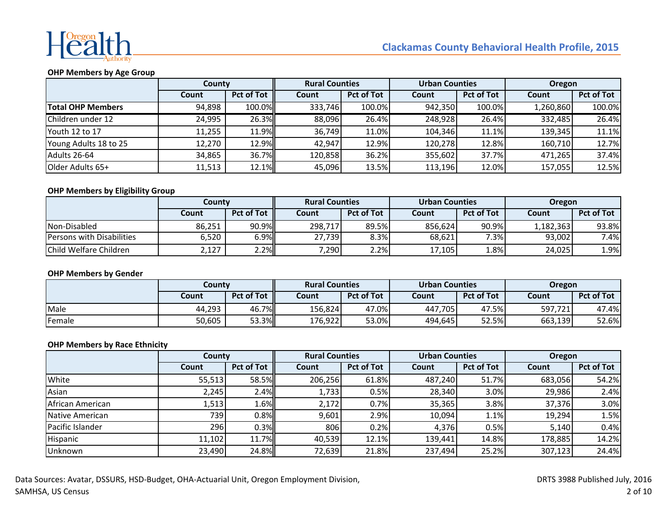

## **OHP Members by Age Group**

|                          | County |                   | <b>Rural Counties</b> |                   | <b>Urban Counties</b> |                   | <b>Oregon</b> |                   |  |
|--------------------------|--------|-------------------|-----------------------|-------------------|-----------------------|-------------------|---------------|-------------------|--|
|                          | Count  | <b>Pct of Tot</b> | Count                 | <b>Pct of Tot</b> | Count                 | <b>Pct of Tot</b> | Count         | <b>Pct of Tot</b> |  |
| <b>Total OHP Members</b> | 94,898 | 100.0%            | 333,746               | 100.0%            | 942,350               | 100.0%            | 1,260,860     | 100.0%            |  |
| Children under 12        | 24,995 | 26.3%             | 88,096                | 26.4%             | 248,928               | 26.4%             | 332,485       | 26.4%             |  |
| Youth 12 to 17           | 11,255 | 11.9%             | 36,749                | 11.0%             | 104,346               | 11.1%             | 139,345       | 11.1%             |  |
| Young Adults 18 to 25    | 12,270 | 12.9%             | 42,947                | 12.9%             | 120,278               | 12.8%             | 160,710       | 12.7%             |  |
| Adults 26-64             | 34,865 | 36.7%             | 120,858               | 36.2%             | 355,602               | 37.7%             | 471,265       | 37.4%             |  |
| Older Adults 65+         | 11,513 | 12.1%             | 45,096                | 13.5%             | 113.196               | 12.0%             | 157,055       | 12.5%             |  |

#### **OHP Members by Eligibility Group**

|                                  | Countv |            | <b>Rural Counties</b> |                   | <b>Urban Counties</b> |                   | Oregon    |                   |  |
|----------------------------------|--------|------------|-----------------------|-------------------|-----------------------|-------------------|-----------|-------------------|--|
|                                  | Count  | Pct of Tot | Count                 | <b>Pct of Tot</b> | Count                 | <b>Pct of Tot</b> | Count     | <b>Pct of Tot</b> |  |
| Non-Disabled                     | 86,251 | 90.9%      | 298,717               | 89.5%             | 856.624               | 90.9%             | 1,182,363 | 93.8%             |  |
| <b>Persons with Disabilities</b> | 6,520  | 6.9%II     | 27,739                | 8.3%              | 68.621                | 7.3%              | 93,002    | 7.4%              |  |
| Child Welfare Children           | 2,127  | 2.2%       | 7,2901                | 2.2%              | 17,105                | 1.8%              | 24,025    | 1.9%              |  |

#### **OHP Members by Gender**

|        | Countv |                   | <b>Rural Counties</b> |                   | <b>Urban Counties</b> |                   | <b>Oregon</b> |                   |  |
|--------|--------|-------------------|-----------------------|-------------------|-----------------------|-------------------|---------------|-------------------|--|
|        | Count  | <b>Pct of Tot</b> | Count                 | <b>Pct of Tot</b> | Count                 | <b>Pct of Tot</b> | <b>Count</b>  | <b>Pct of Tot</b> |  |
| Male   | 44,293 | 46.7%             | 156,824               | 47.0%             | 447.705               | 47.5%             | 597.721       | 47.4%             |  |
| Female | 50,605 | 53.3%             | 176,922               | 53.0%             | 494.645               | 52.5%             | 663,139       | 52.6%             |  |

#### **OHP Members by Race Ethnicity**

|                  | County |                   | <b>Rural Counties</b> |                   | <b>Urban Counties</b> |                   | Oregon  |                   |  |
|------------------|--------|-------------------|-----------------------|-------------------|-----------------------|-------------------|---------|-------------------|--|
|                  | Count  | <b>Pct of Tot</b> | Count                 | <b>Pct of Tot</b> | Count                 | <b>Pct of Tot</b> | Count   | <b>Pct of Tot</b> |  |
| White            | 55,513 | 58.5%             | 206,256               | 61.8%             | 487,240               | 51.7%             | 683,056 | 54.2%             |  |
| Asian            | 2,245  | 2.4%              | 1,733                 | 0.5%              | 28,340                | 3.0%              | 29,986  | 2.4%              |  |
| African American | 1,513  | 1.6%              | 2,172                 | 0.7%              | 35,365                | 3.8%              | 37,376  | 3.0%              |  |
| Native American  | 739    | 0.8%              | 9,601                 | 2.9%              | 10,094                | 1.1%              | 19,294  | 1.5%              |  |
| Pacific Islander | 296l   | 0.3%              | 806                   | 0.2%              | 4,376                 | 0.5%              | 5,140   | 0.4%              |  |
| Hispanic         | 11,102 | 11.7%             | 40,539                | 12.1%             | 139,441               | 14.8%             | 178,885 | 14.2%             |  |
| Unknown          | 23,490 | 24.8%             | 72,639                | 21.8%             | 237,494               | 25.2%             | 307,123 | 24.4%             |  |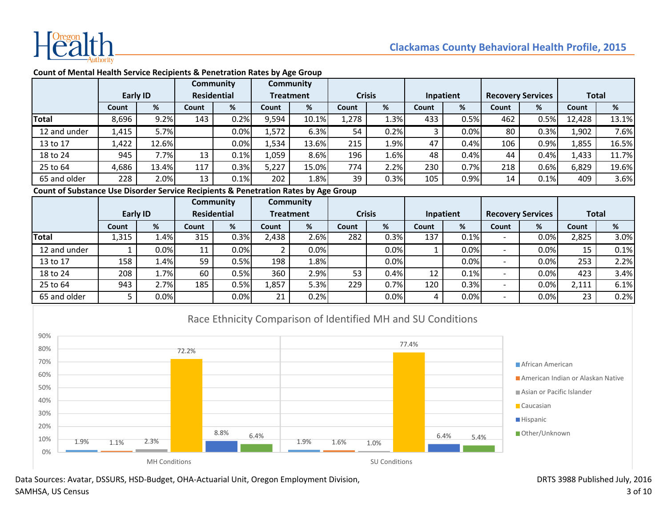

|                                                                                     |                                |       |                                                                                                                 | Community |                                    | Community |           |      |                          |      |              |      |        |       |
|-------------------------------------------------------------------------------------|--------------------------------|-------|-----------------------------------------------------------------------------------------------------------------|-----------|------------------------------------|-----------|-----------|------|--------------------------|------|--------------|------|--------|-------|
|                                                                                     | <b>Residential</b><br>Early ID |       | <b>Treatment</b>                                                                                                |           | <b>Crisis</b>                      |           | Inpatient |      | <b>Recovery Services</b> |      | <b>Total</b> |      |        |       |
|                                                                                     | Count                          | %     | Count                                                                                                           | %         | Count                              | %         | Count     | %    | Count                    | %    | Count        | %    | Count  | %     |
| Total                                                                               | 8,696                          | 9.2%  | 143                                                                                                             | 0.2%      | 9,594                              | 10.1%     | 1,278     | 1.3% | 433                      | 0.5% | 462          | 0.5% | 12,428 | 13.1% |
| 12 and under                                                                        | 1,415                          | 5.7%  |                                                                                                                 | 0.0%      | 1,572                              | 6.3%      | 54        | 0.2% |                          | 0.0% | 80           | 0.3% | 1,902  | 7.6%  |
| 13 to 17                                                                            | 1,422                          | 12.6% |                                                                                                                 | 0.0%      | 1,534                              | 13.6%     | 215       | 1.9% | 47                       | 0.4% | 106          | 0.9% | 1,855  | 16.5% |
| 18 to 24                                                                            | 945                            | 7.7%  | 13                                                                                                              | 0.1%      | 1,059                              | 8.6%      | 196       | 1.6% | 48                       | 0.4% | 44           | 0.4% | 1,433  | 11.7% |
| 25 to 64                                                                            | 4,686                          | 13.4% | 117                                                                                                             | 0.3%      | 5,227                              | 15.0%     | 774       | 2.2% | 230                      | 0.7% | 218          | 0.6% | 6,829  | 19.6% |
| 65 and older                                                                        | 228                            | 2.0%  | 13                                                                                                              | 0.1%      | 202                                | 1.8%      | 39        | 0.3% | 105                      | 0.9% | 14           | 0.1% | 409    | 3.6%  |
| Count of Substance Use Disorder Service Recipients & Penetration Rates by Age Group |                                |       |                                                                                                                 |           |                                    |           |           |      |                          |      |              |      |        |       |
|                                                                                     |                                |       | the contract of the contract of the contract of the contract of the contract of the contract of the contract of |           | $\sim$ $\sim$ $\sim$ $\sim$ $\sim$ |           |           |      |                          |      |              |      |        |       |

#### **Count of Mental Health Service Recipients & Penetration Rates by Age Group**

|              |          |         |                    | Community |       | Community        |               |      |           |      |                          |                          |              |      |
|--------------|----------|---------|--------------------|-----------|-------|------------------|---------------|------|-----------|------|--------------------------|--------------------------|--------------|------|
|              | Early ID |         | <b>Residential</b> |           |       | <b>Treatment</b> | <b>Crisis</b> |      | Inpatient |      |                          | <b>Recovery Services</b> | <b>Total</b> |      |
|              | Count    | %       | Count              | %         | Count | %                | Count         | %    | Count     | %    | Count                    | %                        | Count        | %    |
| Total        | 1,315    | 1.4%    | 315                | 0.3%      | 2,438 | 2.6%             | 282           | 0.3% | 137       | 0.1% | $\overline{\phantom{0}}$ | 0.0%                     | 2,825        | 3.0% |
| 12 and under |          | 0.0%    | 11                 | 0.0%      |       | 0.0%             |               | 0.0% |           | 0.0% | $\overline{\phantom{0}}$ | 0.0%                     | 15           | 0.1% |
| 13 to 17     | 158      | 1.4%    | 59                 | 0.5%      | 198   | 1.8%             |               | 0.0% |           | 0.0% | $\overline{\phantom{0}}$ | 0.0%                     | 253          | 2.2% |
| 18 to 24     | 208      | $1.7\%$ | 60                 | 0.5%      | 360   | 2.9%             | 53            | 0.4% | 12        | 0.1% | $\overline{\phantom{0}}$ | 0.0%                     | 423          | 3.4% |
| 25 to 64     | 943      | 2.7%    | 185                | 0.5%      | 1,857 | 5.3%             | 229           | 0.7% | 120       | 0.3% | $\overline{\phantom{0}}$ | 0.0%                     | 2,111        | 6.1% |
| 65 and older |          | 0.0%    |                    | 0.0%      | 21    | 0.2%             |               | 0.0% | 4         | 0.0% | $\overline{\phantom{0}}$ | 0.0%                     | 23           | 0.2% |

# Race Ethnicity Comparison of Identified MH and SU Conditions

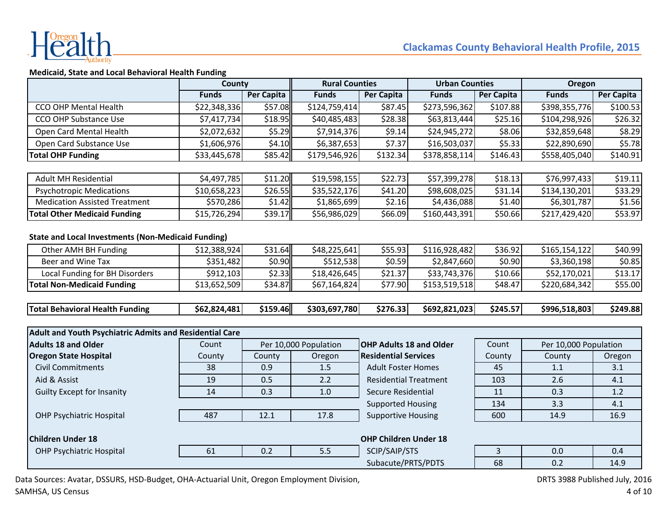

# **Medicaid, State and Local Behavioral Health Funding**

|                                                                | County       |                   | <b>Rural Counties</b> |                                | <b>Urban Counties</b> |                | Oregon                |                   |
|----------------------------------------------------------------|--------------|-------------------|-----------------------|--------------------------------|-----------------------|----------------|-----------------------|-------------------|
|                                                                | <b>Funds</b> | <b>Per Capita</b> | <b>Funds</b>          | <b>Per Capita</b>              | <b>Funds</b>          | Per Capita     | <b>Funds</b>          | <b>Per Capita</b> |
| CCO OHP Mental Health                                          | \$22,348,336 | \$57.08           | \$124,759,414         | \$87.45                        | \$273,596,362         | \$107.88       | \$398,355,776         | \$100.53          |
| <b>CCO OHP Substance Use</b>                                   | \$7,417,734  | \$18.95           | \$40,485,483          | \$28.38                        | \$63,813,444          | \$25.16        | \$104,298,926         | \$26.32           |
| Open Card Mental Health                                        | \$2,072,632  | \$5.29            | \$7,914,376           | \$9.14                         | \$24,945,272          | \$8.06         | \$32,859,648          | \$8.29            |
| Open Card Substance Use                                        | \$1,606,976  | \$4.10            | \$6,387,653           | \$7.37                         | \$16,503,037          | \$5.33         | \$22,890,690          | \$5.78            |
| <b>Total OHP Funding</b>                                       | \$33,445,678 | \$85.42           | \$179,546,926         | \$132.34                       | \$378,858,114         | \$146.43       | \$558,405,040         | \$140.91          |
|                                                                |              |                   |                       |                                |                       |                |                       |                   |
| <b>Adult MH Residential</b>                                    | \$4,497,785  | \$11.20           | \$19,598,155          | \$22.73                        | \$57,399,278          | \$18.13        | \$76,997,433          | \$19.11           |
| <b>Psychotropic Medications</b>                                | \$10,658,223 | \$26.55           | \$35,522,176          | \$41.20                        | \$98,608,025          | \$31.14        | \$134,130,201         | \$33.29           |
| <b>Medication Assisted Treatment</b>                           | \$570,286    | \$1.42            | \$1,865,699           | \$2.16                         | \$4,436,088           | \$1.40         | \$6,301,787           | \$1.56            |
| <b>Total Other Medicaid Funding</b>                            | \$15,726,294 | \$39.17           | \$56,986,029          | \$66.09                        | \$160,443,391         | \$50.66        | \$217,429,420         | \$53.97           |
|                                                                |              |                   |                       |                                |                       |                |                       |                   |
| <b>State and Local Investments (Non-Medicaid Funding)</b>      |              |                   |                       |                                |                       |                |                       |                   |
| Other AMH BH Funding                                           | \$12,388,924 | \$31.64           | \$48,225,641          | \$55.93                        | \$116,928,482         | \$36.92        | \$165,154,122         | \$40.99           |
| Beer and Wine Tax                                              | \$351,482    | \$0.90            | \$512,538             | \$0.59                         | \$2,847,660           | \$0.90         | \$3,360,198           | \$0.85            |
| Local Funding for BH Disorders                                 | \$912,103    | \$2.33            | \$18,426,645          | \$21.37                        | \$33,743,376          | \$10.66        | \$52,170,021          | \$13.17           |
| <b>Total Non-Medicaid Funding</b>                              | \$13,652,509 | \$34.87           | \$67,164,824          | \$77.90                        | \$153,519,518         | \$48.47        | \$220,684,342         | \$55.00           |
| <b>Total Behavioral Health Funding</b>                         | \$62,824,481 | \$159.46          | \$303,697,780         | \$276.33                       | \$692,821,023         | \$245.57       | \$996,518,803         | \$249.88          |
| <b>Adult and Youth Psychiatric Admits and Residential Care</b> |              |                   |                       |                                |                       |                |                       |                   |
| <b>Adults 18 and Older</b>                                     | Count        |                   | Per 10,000 Population | <b>OHP Adults 18 and Older</b> |                       | Count          | Per 10,000 Population |                   |
| <b>Oregon State Hospital</b>                                   | County       | County            | Oregon                | <b>Residential Services</b>    |                       | County         | County                | Oregon            |
| <b>Civil Commitments</b>                                       | 38           | 0.9               | 1.5                   | <b>Adult Foster Homes</b>      |                       | 45             | 1.1                   | 3.1               |
| Aid & Assist                                                   | 19           | 0.5               | 2.2                   | <b>Residential Treatment</b>   |                       | 103            | 2.6                   | 4.1               |
| <b>Guilty Except for Insanity</b>                              | 14           | 0.3               | 1.0                   | <b>Secure Residential</b>      |                       | 11             | 0.3                   | 1.2               |
|                                                                |              |                   |                       | <b>Supported Housing</b>       |                       | 134            | 3.3                   | 4.1               |
| <b>OHP Psychiatric Hospital</b>                                | 487          | 12.1              | 17.8                  | <b>Supportive Housing</b>      |                       | 600            | 14.9                  | 16.9              |
| <b>Children Under 18</b>                                       |              |                   |                       | <b>OHP Children Under 18</b>   |                       |                |                       |                   |
|                                                                |              |                   |                       |                                |                       |                |                       |                   |
| <b>OHP Psychiatric Hospital</b>                                | 61           | 0.2               | 5.5                   | SCIP/SAIP/STS                  |                       | $\overline{3}$ | 0.0                   | 0.4               |
|                                                                |              |                   |                       | Subacute/PRTS/PDTS             |                       | 68             | 0.2                   | 14.9              |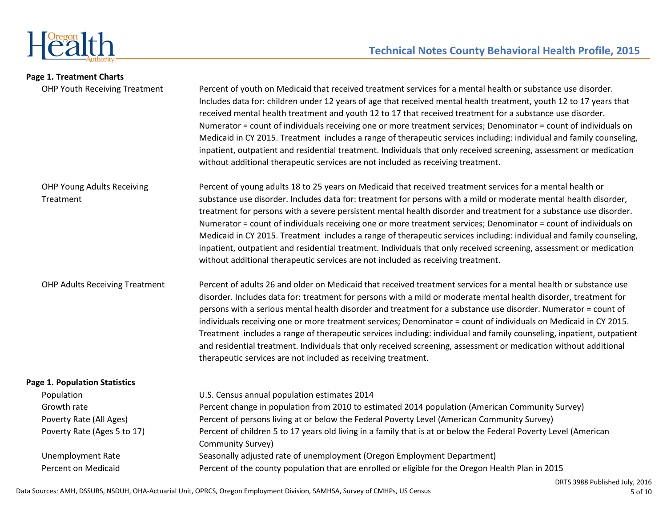

| Page 1. Treatment Charts                       |                                                                                                                                                                                                                                                                                                                                                                                                                                                                                                                                                                                                                                                                                                                                                                                                            |
|------------------------------------------------|------------------------------------------------------------------------------------------------------------------------------------------------------------------------------------------------------------------------------------------------------------------------------------------------------------------------------------------------------------------------------------------------------------------------------------------------------------------------------------------------------------------------------------------------------------------------------------------------------------------------------------------------------------------------------------------------------------------------------------------------------------------------------------------------------------|
| OHP Youth Receiving Treatment                  | Percent of youth on Medicaid that received treatment services for a mental health or substance use disorder.<br>Includes data for: children under 12 years of age that received mental health treatment, youth 12 to 17 years that<br>received mental health treatment and youth 12 to 17 that received treatment for a substance use disorder.<br>Numerator = count of individuals receiving one or more treatment services; Denominator = count of individuals on<br>Medicaid in CY 2015. Treatment includes a range of therapeutic services including: individual and family counseling,<br>inpatient, outpatient and residential treatment. Individuals that only received screening, assessment or medication<br>without additional therapeutic services are not included as receiving treatment.     |
| <b>OHP Young Adults Receiving</b><br>Treatment | Percent of young adults 18 to 25 years on Medicaid that received treatment services for a mental health or<br>substance use disorder. Includes data for: treatment for persons with a mild or moderate mental health disorder,<br>treatment for persons with a severe persistent mental health disorder and treatment for a substance use disorder.<br>Numerator = count of individuals receiving one or more treatment services; Denominator = count of individuals on<br>Medicaid in CY 2015. Treatment includes a range of therapeutic services including: individual and family counseling,<br>inpatient, outpatient and residential treatment. Individuals that only received screening, assessment or medication<br>without additional therapeutic services are not included as receiving treatment. |
| <b>OHP Adults Receiving Treatment</b>          | Percent of adults 26 and older on Medicaid that received treatment services for a mental health or substance use<br>disorder. Includes data for: treatment for persons with a mild or moderate mental health disorder, treatment for<br>persons with a serious mental health disorder and treatment for a substance use disorder. Numerator = count of<br>individuals receiving one or more treatment services; Denominator = count of individuals on Medicaid in CY 2015.<br>Treatment includes a range of therapeutic services including: individual and family counseling, inpatient, outpatient<br>and residential treatment. Individuals that only received screening, assessment or medication without additional<br>therapeutic services are not included as receiving treatment.                   |
| <b>Page 1. Population Statistics</b>           |                                                                                                                                                                                                                                                                                                                                                                                                                                                                                                                                                                                                                                                                                                                                                                                                            |
| Population                                     | U.S. Census annual population estimates 2014                                                                                                                                                                                                                                                                                                                                                                                                                                                                                                                                                                                                                                                                                                                                                               |
| Growth rate                                    | Percent change in population from 2010 to estimated 2014 population (American Community Survey)                                                                                                                                                                                                                                                                                                                                                                                                                                                                                                                                                                                                                                                                                                            |
| Poverty Rate (All Ages)                        | Percent of persons living at or below the Federal Poverty Level (American Community Survey)                                                                                                                                                                                                                                                                                                                                                                                                                                                                                                                                                                                                                                                                                                                |
| Poverty Rate (Ages 5 to 17)                    | Percent of children 5 to 17 years old living in a family that is at or below the Federal Poverty Level (American<br>Community Survey)                                                                                                                                                                                                                                                                                                                                                                                                                                                                                                                                                                                                                                                                      |
| <b>Unemployment Rate</b>                       | Seasonally adjusted rate of unemployment (Oregon Employment Department)                                                                                                                                                                                                                                                                                                                                                                                                                                                                                                                                                                                                                                                                                                                                    |
| <b>Percent on Medicaid</b>                     | Percent of the county population that are enrolled or eligible for the Oregon Health Plan in 2015                                                                                                                                                                                                                                                                                                                                                                                                                                                                                                                                                                                                                                                                                                          |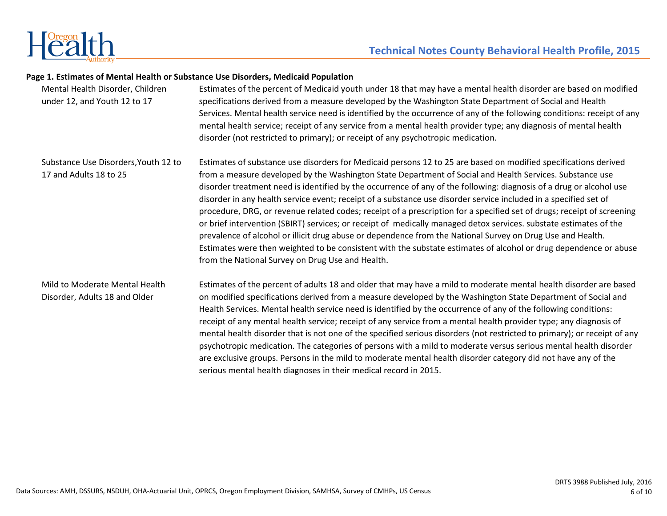

#### **Page 1. Estimates of Mental Health or Substance Use Disorders, Medicaid Population**

| Mental Health Disorder, Children<br>under 12, and Youth 12 to 17 | Estimates of the percent of Medicaid youth under 18 that may have a mental health disorder are based on modified<br>specifications derived from a measure developed by the Washington State Department of Social and Health<br>Services. Mental health service need is identified by the occurrence of any of the following conditions: receipt of any<br>mental health service; receipt of any service from a mental health provider type; any diagnosis of mental health<br>disorder (not restricted to primary); or receipt of any psychotropic medication.                                                                                                                                                                                                                                                                                                                                                                                                                                              |
|------------------------------------------------------------------|-------------------------------------------------------------------------------------------------------------------------------------------------------------------------------------------------------------------------------------------------------------------------------------------------------------------------------------------------------------------------------------------------------------------------------------------------------------------------------------------------------------------------------------------------------------------------------------------------------------------------------------------------------------------------------------------------------------------------------------------------------------------------------------------------------------------------------------------------------------------------------------------------------------------------------------------------------------------------------------------------------------|
| Substance Use Disorders, Youth 12 to<br>17 and Adults 18 to 25   | Estimates of substance use disorders for Medicaid persons 12 to 25 are based on modified specifications derived<br>from a measure developed by the Washington State Department of Social and Health Services. Substance use<br>disorder treatment need is identified by the occurrence of any of the following: diagnosis of a drug or alcohol use<br>disorder in any health service event; receipt of a substance use disorder service included in a specified set of<br>procedure, DRG, or revenue related codes; receipt of a prescription for a specified set of drugs; receipt of screening<br>or brief intervention (SBIRT) services; or receipt of medically managed detox services. substate estimates of the<br>prevalence of alcohol or illicit drug abuse or dependence from the National Survey on Drug Use and Health.<br>Estimates were then weighted to be consistent with the substate estimates of alcohol or drug dependence or abuse<br>from the National Survey on Drug Use and Health. |
| Mild to Moderate Mental Health<br>Disorder, Adults 18 and Older  | Estimates of the percent of adults 18 and older that may have a mild to moderate mental health disorder are based<br>on modified specifications derived from a measure developed by the Washington State Department of Social and<br>Health Services. Mental health service need is identified by the occurrence of any of the following conditions:<br>receipt of any mental health service; receipt of any service from a mental health provider type; any diagnosis of<br>mental health disorder that is not one of the specified serious disorders (not restricted to primary); or receipt of any<br>psychotropic medication. The categories of persons with a mild to moderate versus serious mental health disorder<br>are exclusive groups. Persons in the mild to moderate mental health disorder category did not have any of the<br>serious mental health diagnoses in their medical record in 2015.                                                                                              |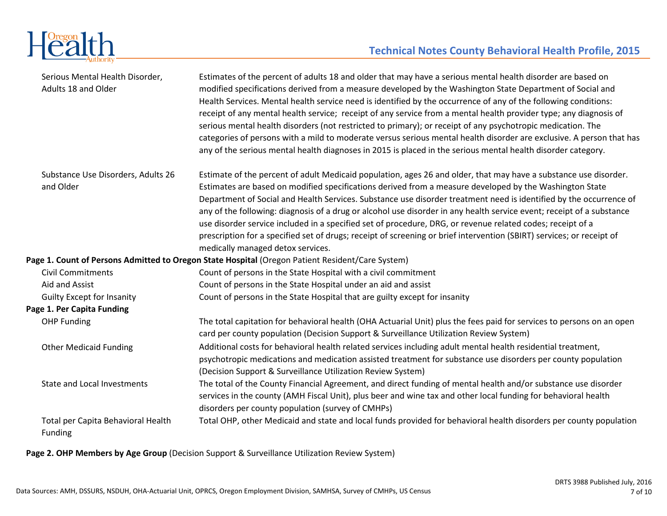

| Serious Mental Health Disorder,<br>Adults 18 and Older | Estimates of the percent of adults 18 and older that may have a serious mental health disorder are based on<br>modified specifications derived from a measure developed by the Washington State Department of Social and<br>Health Services. Mental health service need is identified by the occurrence of any of the following conditions:<br>receipt of any mental health service; receipt of any service from a mental health provider type; any diagnosis of<br>serious mental health disorders (not restricted to primary); or receipt of any psychotropic medication. The<br>categories of persons with a mild to moderate versus serious mental health disorder are exclusive. A person that has<br>any of the serious mental health diagnoses in 2015 is placed in the serious mental health disorder category. |
|--------------------------------------------------------|-------------------------------------------------------------------------------------------------------------------------------------------------------------------------------------------------------------------------------------------------------------------------------------------------------------------------------------------------------------------------------------------------------------------------------------------------------------------------------------------------------------------------------------------------------------------------------------------------------------------------------------------------------------------------------------------------------------------------------------------------------------------------------------------------------------------------|
| Substance Use Disorders, Adults 26<br>and Older        | Estimate of the percent of adult Medicaid population, ages 26 and older, that may have a substance use disorder.<br>Estimates are based on modified specifications derived from a measure developed by the Washington State<br>Department of Social and Health Services. Substance use disorder treatment need is identified by the occurrence of<br>any of the following: diagnosis of a drug or alcohol use disorder in any health service event; receipt of a substance<br>use disorder service included in a specified set of procedure, DRG, or revenue related codes; receipt of a<br>prescription for a specified set of drugs; receipt of screening or brief intervention (SBIRT) services; or receipt of<br>medically managed detox services.                                                                  |
|                                                        | Page 1. Count of Persons Admitted to Oregon State Hospital (Oregon Patient Resident/Care System)                                                                                                                                                                                                                                                                                                                                                                                                                                                                                                                                                                                                                                                                                                                        |
| <b>Civil Commitments</b>                               | Count of persons in the State Hospital with a civil commitment                                                                                                                                                                                                                                                                                                                                                                                                                                                                                                                                                                                                                                                                                                                                                          |
| Aid and Assist                                         | Count of persons in the State Hospital under an aid and assist                                                                                                                                                                                                                                                                                                                                                                                                                                                                                                                                                                                                                                                                                                                                                          |
| <b>Guilty Except for Insanity</b>                      | Count of persons in the State Hospital that are guilty except for insanity                                                                                                                                                                                                                                                                                                                                                                                                                                                                                                                                                                                                                                                                                                                                              |
| Page 1. Per Capita Funding                             |                                                                                                                                                                                                                                                                                                                                                                                                                                                                                                                                                                                                                                                                                                                                                                                                                         |
| <b>OHP Funding</b>                                     | The total capitation for behavioral health (OHA Actuarial Unit) plus the fees paid for services to persons on an open<br>card per county population (Decision Support & Surveillance Utilization Review System)                                                                                                                                                                                                                                                                                                                                                                                                                                                                                                                                                                                                         |
| <b>Other Medicaid Funding</b>                          | Additional costs for behavioral health related services including adult mental health residential treatment,<br>psychotropic medications and medication assisted treatment for substance use disorders per county population<br>(Decision Support & Surveillance Utilization Review System)                                                                                                                                                                                                                                                                                                                                                                                                                                                                                                                             |
| <b>State and Local Investments</b>                     | The total of the County Financial Agreement, and direct funding of mental health and/or substance use disorder<br>services in the county (AMH Fiscal Unit), plus beer and wine tax and other local funding for behavioral health<br>disorders per county population (survey of CMHPs)                                                                                                                                                                                                                                                                                                                                                                                                                                                                                                                                   |
| Total per Capita Behavioral Health<br>Funding          | Total OHP, other Medicaid and state and local funds provided for behavioral health disorders per county population                                                                                                                                                                                                                                                                                                                                                                                                                                                                                                                                                                                                                                                                                                      |

**Page 2. OHP Members by Age Group** (Decision Support & Surveillance Utilization Review System)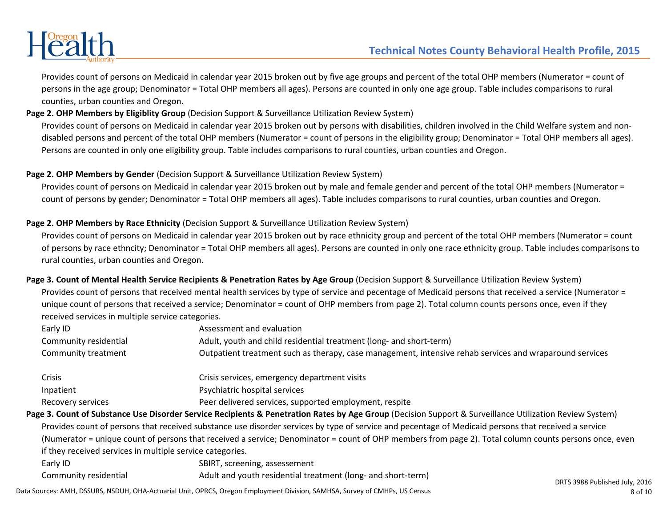

Provides count of persons on Medicaid in calendar year 2015 broken out by five age groups and percent of the total OHP members (Numerator = count of persons in the age group; Denominator = Total OHP members all ages). Persons are counted in only one age group. Table includes comparisons to rural counties, urban counties and Oregon.

# **Page 2. OHP Members by Eligiblity Group** (Decision Support & Surveillance Utilization Review System)

Provides count of persons on Medicaid in calendar year 2015 broken out by persons with disabilities, children involved in the Child Welfare system and nondisabled persons and percent of the total OHP members (Numerator = count of persons in the eligibility group; Denominator = Total OHP members all ages). Persons are counted in only one eligibility group. Table includes comparisons to rural counties, urban counties and Oregon.

# **Page 2. OHP Members by Gender** (Decision Support & Surveillance Utilization Review System)

Provides count of persons on Medicaid in calendar year 2015 broken out by male and female gender and percent of the total OHP members (Numerator = count of persons by gender; Denominator = Total OHP members all ages). Table includes comparisons to rural counties, urban counties and Oregon.

# **Page 2. OHP Members by Race Ethnicity** (Decision Support & Surveillance Utilization Review System)

Provides count of persons on Medicaid in calendar year 2015 broken out by race ethnicity group and percent of the total OHP members (Numerator = count of persons by race ethncity; Denominator = Total OHP members all ages). Persons are counted in only one race ethnicity group. Table includes comparisons to rural counties, urban counties and Oregon.

**Page 3. Count of Mental Health Service Recipients & Penetration Rates by Age Group** (Decision Support & Surveillance Utilization Review System)Provides count of persons that received mental health services by type of service and pecentage of Medicaid persons that received a service (Numerator = unique count of persons that received a service; Denominator = count of OHP members from page 2). Total column counts persons once, even if they received services in multiple service categories.

| Early ID                                                  | Assessment and evaluation                                                                                                                               |                          |
|-----------------------------------------------------------|---------------------------------------------------------------------------------------------------------------------------------------------------------|--------------------------|
| Community residential                                     | Adult, youth and child residential treatment (long- and short-term)                                                                                     |                          |
| Community treatment                                       | Outpatient treatment such as therapy, case management, intensive rehab services and wraparound services                                                 |                          |
| <b>Crisis</b>                                             | Crisis services, emergency department visits                                                                                                            |                          |
| Inpatient                                                 | Psychiatric hospital services                                                                                                                           |                          |
| Recovery services                                         | Peer delivered services, supported employment, respite                                                                                                  |                          |
|                                                           | Page 3. Count of Substance Use Disorder Service Recipients & Penetration Rates by Age Group (Decision Support & Surveillance Utilization Review System) |                          |
|                                                           | Provides count of persons that received substance use disorder services by type of service and pecentage of Medicaid persons that received a service    |                          |
|                                                           | (Numerator = unique count of persons that received a service; Denominator = count of OHP members from page 2). Total column counts persons once, even   |                          |
| if they received services in multiple service categories. |                                                                                                                                                         |                          |
| Early ID                                                  | SBIRT, screening, assessement                                                                                                                           |                          |
| Community residential                                     | Adult and youth residential treatment (long- and short-term)                                                                                            | DRTS 2088 Dublichad July |

Data Sources: AMH, DSSURS, NSDUH, OHA-Actuarial Unit, OPRCS, Oregon Employment Division, SAMHSA, Survey of CMHPs, US Census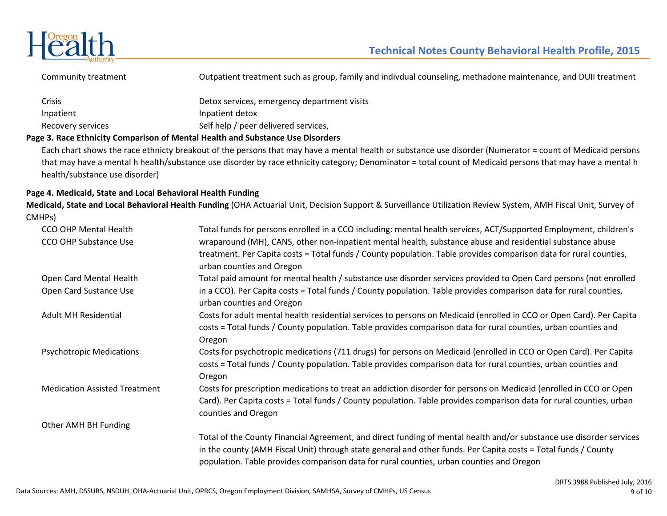

Community treatment Outpatient treatment such as group, family and indivdual counseling, methadone maintenance, and DUII treatment

| Crisis            | Detox services, emergency department visits |
|-------------------|---------------------------------------------|
| Inpatient         | Inpatient detox                             |
| Recovery services | Self help / peer delivered services,        |
|                   |                                             |

## **Page 3. Race Ethnicity Comparison of Mental Health and Substance Use Disorders**

Each chart shows the race ethnicty breakout of the persons that may have a mental health or substance use disorder (Numerator = count of Medicaid persons that may have a mental h health/substance use disorder by race ethnicity category; Denominator = total count of Medicaid persons that may have a mental hhealth/substance use disorder)

## **Page 4. Medicaid, State and Local Behavioral Health Funding**

 **Medicaid, State and Local Behavioral Health Funding** (OHA Actuarial Unit, Decision Support & Surveillance Utilization Review System, AMH Fiscal Unit, Survey of CMHPs)

| CCO OHP Mental Health                | Total funds for persons enrolled in a CCO including: mental health services, ACT/Supported Employment, children's                                                                                                                                                                                                                 |
|--------------------------------------|-----------------------------------------------------------------------------------------------------------------------------------------------------------------------------------------------------------------------------------------------------------------------------------------------------------------------------------|
| <b>CCO OHP Substance Use</b>         | wraparound (MH), CANS, other non-inpatient mental health, substance abuse and residential substance abuse<br>treatment. Per Capita costs = Total funds / County population. Table provides comparison data for rural counties,<br>urban counties and Oregon                                                                       |
| Open Card Mental Health              | Total paid amount for mental health / substance use disorder services provided to Open Card persons (not enrolled                                                                                                                                                                                                                 |
| Open Card Sustance Use               | in a CCO). Per Capita costs = Total funds / County population. Table provides comparison data for rural counties,<br>urban counties and Oregon                                                                                                                                                                                    |
| <b>Adult MH Residential</b>          | Costs for adult mental health residential services to persons on Medicaid (enrolled in CCO or Open Card). Per Capita<br>costs = Total funds / County population. Table provides comparison data for rural counties, urban counties and<br>Oregon                                                                                  |
| <b>Psychotropic Medications</b>      | Costs for psychotropic medications (711 drugs) for persons on Medicaid (enrolled in CCO or Open Card). Per Capita<br>costs = Total funds / County population. Table provides comparison data for rural counties, urban counties and<br>Oregon                                                                                     |
| <b>Medication Assisted Treatment</b> | Costs for prescription medications to treat an addiction disorder for persons on Medicaid (enrolled in CCO or Open<br>Card). Per Capita costs = Total funds / County population. Table provides comparison data for rural counties, urban<br>counties and Oregon                                                                  |
| Other AMH BH Funding                 |                                                                                                                                                                                                                                                                                                                                   |
|                                      | Total of the County Financial Agreement, and direct funding of mental health and/or substance use disorder services<br>in the county (AMH Fiscal Unit) through state general and other funds. Per Capita costs = Total funds / County<br>population. Table provides comparison data for rural counties, urban counties and Oregon |